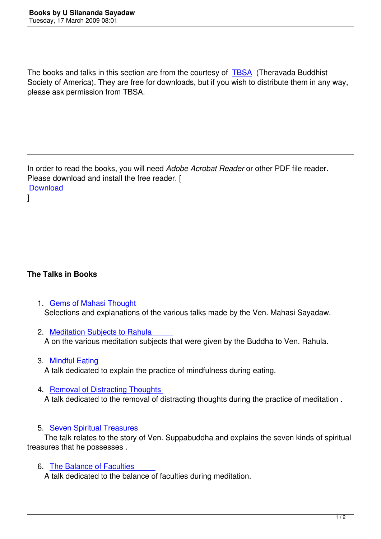The books and talks in this section are from the courtesy of TBSA (Theravada Buddhist Society of America). They are free for downloads, but if you wish to distribute them in any way, please ask permission from TBSA.

In order to read the books, you will need *Adobe Acrobat Reader* or other PDF file reader. Please download and install the free reader. [ **Download** ]

#### **The Talks in Books**

- 1. Gems of Mahasi Thought Selections and explanations of the various talks made by the Ven. Mahasi Sayadaw.
- 2. [Meditation Subjects to Rahula](images/library/books/GemsOfMahasiThought.pdf)  A on the various meditation subjects that were given by the Buddha to Ven. Rahula.
- 3. [Mindful Eating](images/library/books/MeditationSubjectsToRahula.pdf)  A talk dedicated to explain the practice of mindfulness during eating.
- 4. [Removal of Dis](images/library/books/MindfulEating.pdf)tracting Thoughts A talk dedicated to the removal of distracting thoughts during the practice of meditation .
- 5. [Seven Spiritual Treasures](images/library/books/RemovalOfDistractingThoughts.pdf)

The talk relates to the story of Ven. Suppabuddha and explains the seven kinds of spiritual treasures that he possesses .

6. [The Balance of Faculties](images/library/books/SevenTreasures.pdf) 

A talk dedicated to the balance of faculties during meditation.